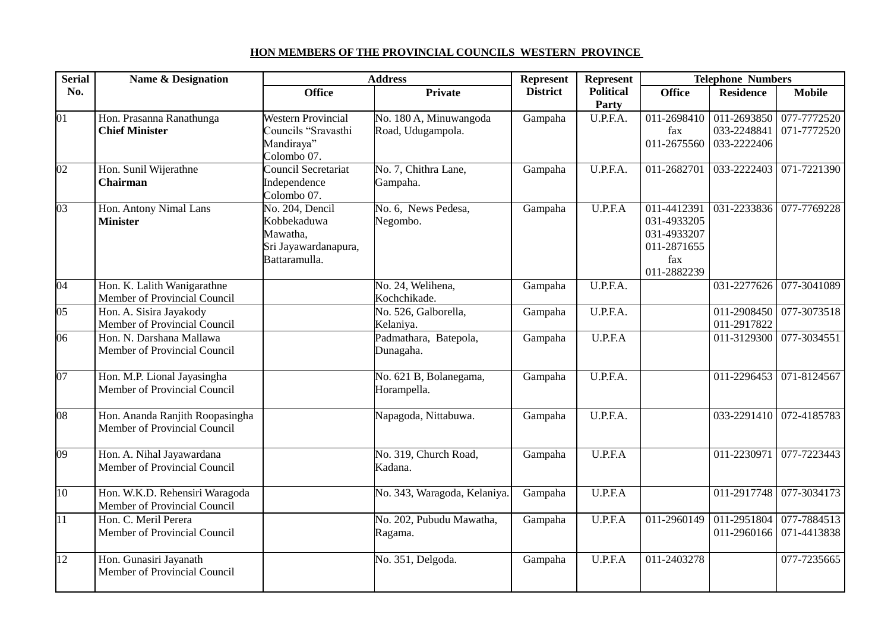## **HON MEMBERS OF THE PROVINCIAL COUNCILS WESTERN PROVINCE**

| <b>Serial</b>   | <b>Name &amp; Designation</b>                                   |                                                                                     | <b>Address</b>                              | Represent       | Represent                 | <b>Telephone Numbers</b>                                        |                                                                   |                                     |  |
|-----------------|-----------------------------------------------------------------|-------------------------------------------------------------------------------------|---------------------------------------------|-----------------|---------------------------|-----------------------------------------------------------------|-------------------------------------------------------------------|-------------------------------------|--|
| No.             |                                                                 | <b>Office</b>                                                                       | <b>Private</b>                              | <b>District</b> | <b>Political</b><br>Party | <b>Office</b>                                                   | <b>Residence</b>                                                  | <b>Mobile</b>                       |  |
| 01              | Hon. Prasanna Ranathunga<br><b>Chief Minister</b>               | <b>Western Provincial</b><br>Councils "Sravasthi<br>Mandiraya"<br>Colombo 07.       | No. 180 A, Minuwangoda<br>Road, Udugampola. | Gampaha         | U.P.F.A.                  | fax                                                             | 011-2698410 011-2693850<br>033-2248841<br>011-2675560 033-2222406 | 077-7772520<br>071-7772520          |  |
| 02              | Hon. Sunil Wijerathne<br><b>Chairman</b>                        | Council Secretariat<br>Independence<br>Colombo 07.                                  | No. 7, Chithra Lane,<br>Gampaha.            | Gampaha         | U.P.F.A.                  | 011-2682701                                                     | 033-2222403                                                       | 071-7221390                         |  |
| 03              | Hon. Antony Nimal Lans<br><b>Minister</b>                       | No. 204, Dencil<br>Kobbekaduwa<br>Mawatha,<br>Sri Jayawardanapura,<br>Battaramulla. | No. 6, News Pedesa,<br>Negombo.             | Gampaha         | U.P.F.A                   | 031-4933205<br>031-4933207<br>011-2871655<br>fax<br>011-2882239 |                                                                   | 011-4412391 031-2233836 077-7769228 |  |
| $\overline{04}$ | Hon. K. Lalith Wanigarathne<br>Member of Provincial Council     |                                                                                     | No. 24, Welihena,<br>Kochchikade.           | Gampaha         | U.P.F.A.                  |                                                                 |                                                                   | 031-2277626 077-3041089             |  |
| 05              | Hon. A. Sisira Jayakody<br>Member of Provincial Council         |                                                                                     | No. 526, Galborella,<br>Kelaniya.           | Gampaha         | U.P.F.A.                  |                                                                 | 011-2908450<br>011-2917822                                        | 077-3073518                         |  |
| 06              | Hon. N. Darshana Mallawa<br>Member of Provincial Council        |                                                                                     | Padmathara, Batepola,<br>Dunagaha.          | Gampaha         | U.P.F.A                   |                                                                 | 011-3129300                                                       | 077-3034551                         |  |
| $\overline{07}$ | Hon. M.P. Lional Jayasingha<br>Member of Provincial Council     |                                                                                     | No. 621 B, Bolanegama,<br>Horampella.       | Gampaha         | U.P.F.A.                  |                                                                 |                                                                   | 011-2296453 071-8124567             |  |
| 08              | Hon. Ananda Ranjith Roopasingha<br>Member of Provincial Council |                                                                                     | Napagoda, Nittabuwa.                        | Gampaha         | U.P.F.A.                  |                                                                 |                                                                   | 033-2291410 072-4185783             |  |
| 09              | Hon. A. Nihal Jayawardana<br>Member of Provincial Council       |                                                                                     | No. 319, Church Road,<br>Kadana.            | Gampaha         | U.P.F.A                   |                                                                 | 011-2230971                                                       | 077-7223443                         |  |
| 10              | Hon. W.K.D. Rehensiri Waragoda<br>Member of Provincial Council  |                                                                                     | No. 343, Waragoda, Kelaniya.                | Gampaha         | U.P.F.A                   |                                                                 |                                                                   | 011-2917748 077-3034173             |  |
| 11              | Hon. C. Meril Perera<br>Member of Provincial Council            |                                                                                     | No. 202, Pubudu Mawatha,<br>Ragama.         | Gampaha         | U.P.F.A                   | 011-2960149                                                     | 011-2951804<br>011-2960166                                        | 077-7884513<br>071-4413838          |  |
| 12              | Hon. Gunasiri Jayanath<br>Member of Provincial Council          |                                                                                     | No. 351, Delgoda.                           | Gampaha         | U.P.F.A                   | 011-2403278                                                     |                                                                   | 077-7235665                         |  |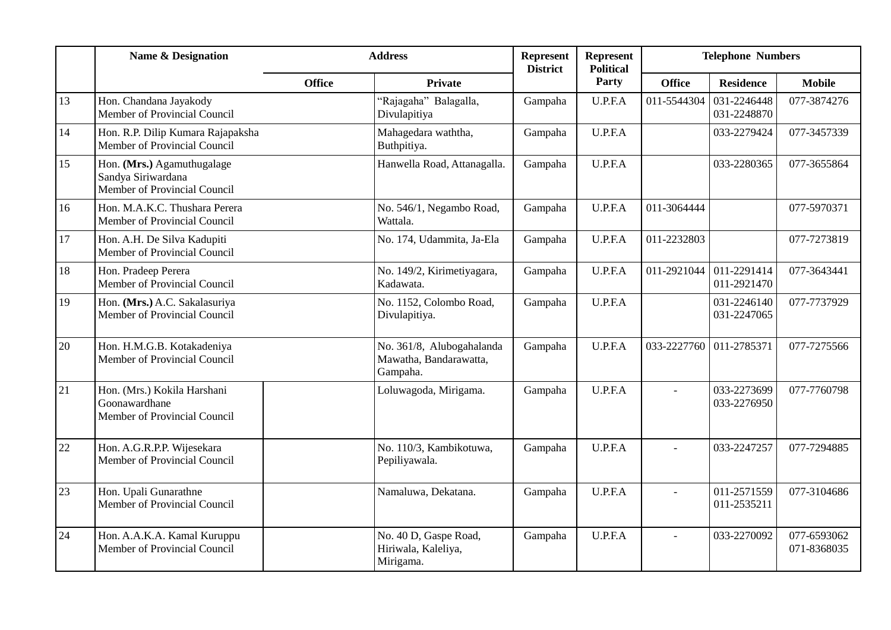|    | <b>Name &amp; Designation</b>                                                    |               | <b>Address</b>                                                  |                 | Represent<br><b>Political</b> | <b>Telephone Numbers</b> |                            |                            |
|----|----------------------------------------------------------------------------------|---------------|-----------------------------------------------------------------|-----------------|-------------------------------|--------------------------|----------------------------|----------------------------|
|    |                                                                                  | <b>Office</b> | <b>Private</b>                                                  | <b>District</b> | Party                         | <b>Office</b>            | <b>Residence</b>           | <b>Mobile</b>              |
| 13 | Hon. Chandana Jayakody<br>Member of Provincial Council                           |               | "Rajagaha" Balagalla,<br>Divulapitiya                           | Gampaha         | U.P.F.A                       | 011-5544304              | 031-2246448<br>031-2248870 | 077-3874276                |
| 14 | Hon. R.P. Dilip Kumara Rajapaksha<br>Member of Provincial Council                |               | Mahagedara waththa,<br>Buthpitiya.                              | Gampaha         | U.P.F.A                       |                          | 033-2279424                | 077-3457339                |
| 15 | Hon. (Mrs.) Agamuthugalage<br>Sandya Siriwardana<br>Member of Provincial Council |               | Hanwella Road, Attanagalla.                                     | Gampaha         | U.P.F.A                       |                          | 033-2280365                | 077-3655864                |
| 16 | Hon. M.A.K.C. Thushara Perera<br>Member of Provincial Council                    |               | No. 546/1, Negambo Road,<br>Wattala.                            | Gampaha         | U.P.F.A                       | 011-3064444              |                            | 077-5970371                |
| 17 | Hon. A.H. De Silva Kadupiti<br>Member of Provincial Council                      |               | No. 174, Udammita, Ja-Ela                                       | Gampaha         | U.P.F.A                       | 011-2232803              |                            | 077-7273819                |
| 18 | Hon. Pradeep Perera<br>Member of Provincial Council                              |               | No. 149/2, Kirimetiyagara,<br>Kadawata.                         | Gampaha         | U.P.F.A                       | 011-2921044              | 011-2291414<br>011-2921470 | 077-3643441                |
| 19 | Hon. (Mrs.) A.C. Sakalasuriya<br>Member of Provincial Council                    |               | No. 1152, Colombo Road,<br>Divulapitiya.                        | Gampaha         | U.P.F.A                       |                          | 031-2246140<br>031-2247065 | 077-7737929                |
| 20 | Hon. H.M.G.B. Kotakadeniya<br>Member of Provincial Council                       |               | No. 361/8, Alubogahalanda<br>Mawatha, Bandarawatta,<br>Gampaha. | Gampaha         | U.P.F.A                       | 033-2227760              | 011-2785371                | 077-7275566                |
| 21 | Hon. (Mrs.) Kokila Harshani<br>Goonawardhane<br>Member of Provincial Council     |               | Loluwagoda, Mirigama.                                           | Gampaha         | U.P.F.A                       |                          | 033-2273699<br>033-2276950 | 077-7760798                |
| 22 | Hon. A.G.R.P.P. Wijesekara<br>Member of Provincial Council                       |               | No. 110/3, Kambikotuwa,<br>Pepiliyawala.                        | Gampaha         | U.P.F.A                       |                          | 033-2247257                | 077-7294885                |
| 23 | Hon. Upali Gunarathne<br>Member of Provincial Council                            |               | Namaluwa, Dekatana.                                             | Gampaha         | U.P.F.A                       | $\overline{a}$           | 011-2571559<br>011-2535211 | 077-3104686                |
| 24 | Hon. A.A.K.A. Kamal Kuruppu<br>Member of Provincial Council                      |               | No. 40 D, Gaspe Road,<br>Hiriwala, Kaleliya,<br>Mirigama.       | Gampaha         | U.P.F.A                       | $\overline{a}$           | 033-2270092                | 077-6593062<br>071-8368035 |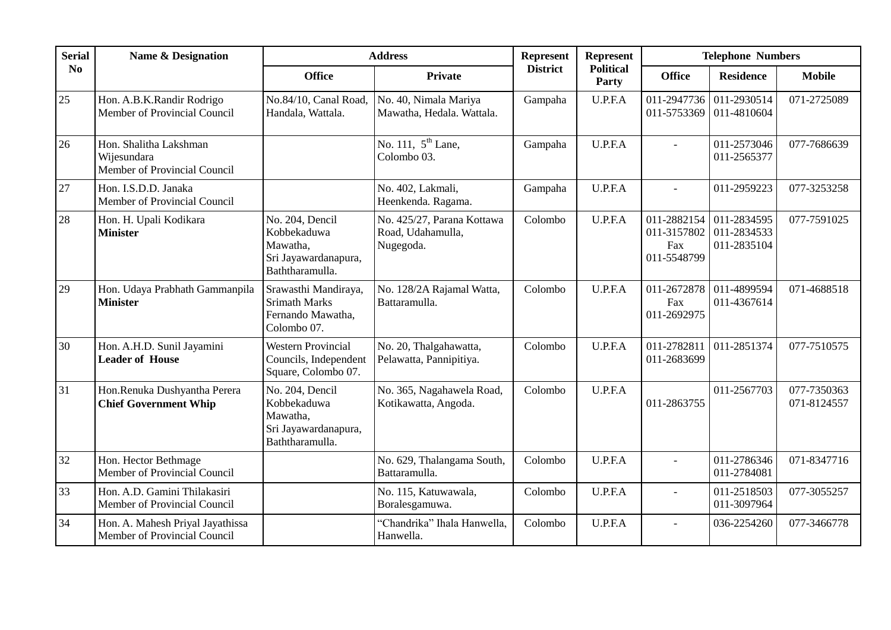| <b>Serial</b> | <b>Name &amp; Designation</b>                                         | <b>Address</b>                                                                        |                                                              | Represent       | <b>Represent</b>          | <b>Telephone Numbers</b>                                     |                            |                            |
|---------------|-----------------------------------------------------------------------|---------------------------------------------------------------------------------------|--------------------------------------------------------------|-----------------|---------------------------|--------------------------------------------------------------|----------------------------|----------------------------|
| No            |                                                                       | <b>Office</b>                                                                         | <b>Private</b>                                               | <b>District</b> | <b>Political</b><br>Party | <b>Office</b>                                                | <b>Residence</b>           | <b>Mobile</b>              |
| $25\,$        | Hon. A.B.K.Randir Rodrigo<br>Member of Provincial Council             | No.84/10, Canal Road,<br>Handala, Wattala.                                            | No. 40, Nimala Mariya<br>Mawatha, Hedala. Wattala.           | Gampaha         | U.P.F.A                   | 011-2947736<br>011-5753369                                   | 011-2930514<br>011-4810604 | 071-2725089                |
| 26            | Hon. Shalitha Lakshman<br>Wijesundara<br>Member of Provincial Council |                                                                                       | No. 111, $5^{th}$ Lane,<br>Colombo 03.                       | Gampaha         | U.P.F.A                   | $\equiv$                                                     | 011-2573046<br>011-2565377 | 077-7686639                |
| 27            | Hon. I.S.D.D. Janaka<br>Member of Provincial Council                  |                                                                                       | No. 402, Lakmali,<br>Heenkenda. Ragama.                      | Gampaha         | U.P.F.A                   | $\overline{a}$                                               | 011-2959223                | 077-3253258                |
| 28            | Hon. H. Upali Kodikara<br><b>Minister</b>                             | No. 204, Dencil<br>Kobbekaduwa<br>Mawatha,<br>Sri Jayawardanapura,<br>Baththaramulla. | No. 425/27, Parana Kottawa<br>Road, Udahamulla,<br>Nugegoda. | Colombo         | U.P.F.A                   | 011-2882154<br>011-3157802 011-2834533<br>Fax<br>011-5548799 | 011-2834595<br>011-2835104 | 077-7591025                |
| 29            | Hon. Udaya Prabhath Gammanpila<br><b>Minister</b>                     | Srawasthi Mandiraya,<br><b>Srimath Marks</b><br>Fernando Mawatha,<br>Colombo 07.      | No. 128/2A Rajamal Watta,<br>Battaramulla.                   | Colombo         | U.P.F.A                   | 011-2672878<br>Fax<br>011-2692975                            | 011-4899594<br>011-4367614 | 071-4688518                |
| 30            | Hon. A.H.D. Sunil Jayamini<br><b>Leader of House</b>                  | <b>Western Provincial</b><br>Councils, Independent<br>Square, Colombo 07.             | No. 20, Thalgahawatta,<br>Pelawatta, Pannipitiya.            | Colombo         | U.P.F.A                   | 011-2782811<br>011-2683699                                   | 011-2851374                | 077-7510575                |
| 31            | Hon.Renuka Dushyantha Perera<br><b>Chief Government Whip</b>          | No. 204, Dencil<br>Kobbekaduwa<br>Mawatha,<br>Sri Jayawardanapura,<br>Baththaramulla. | No. 365, Nagahawela Road,<br>Kotikawatta, Angoda.            | Colombo         | U.P.F.A                   | 011-2863755                                                  | 011-2567703                | 077-7350363<br>071-8124557 |
| 32            | Hon. Hector Bethmage<br>Member of Provincial Council                  |                                                                                       | No. 629, Thalangama South,<br>Battaramulla.                  | Colombo         | U.P.F.A                   |                                                              | 011-2786346<br>011-2784081 | 071-8347716                |
| 33            | Hon. A.D. Gamini Thilakasiri<br>Member of Provincial Council          |                                                                                       | No. 115, Katuwawala,<br>Boralesgamuwa.                       | Colombo         | U.P.F.A                   | $\overline{a}$                                               | 011-2518503<br>011-3097964 | 077-3055257                |
| 34            | Hon. A. Mahesh Priyal Jayathissa<br>Member of Provincial Council      |                                                                                       | "Chandrika" Ihala Hanwella,<br>Hanwella.                     | Colombo         | U.P.F.A                   | $\overline{\phantom{a}}$                                     | 036-2254260                | 077-3466778                |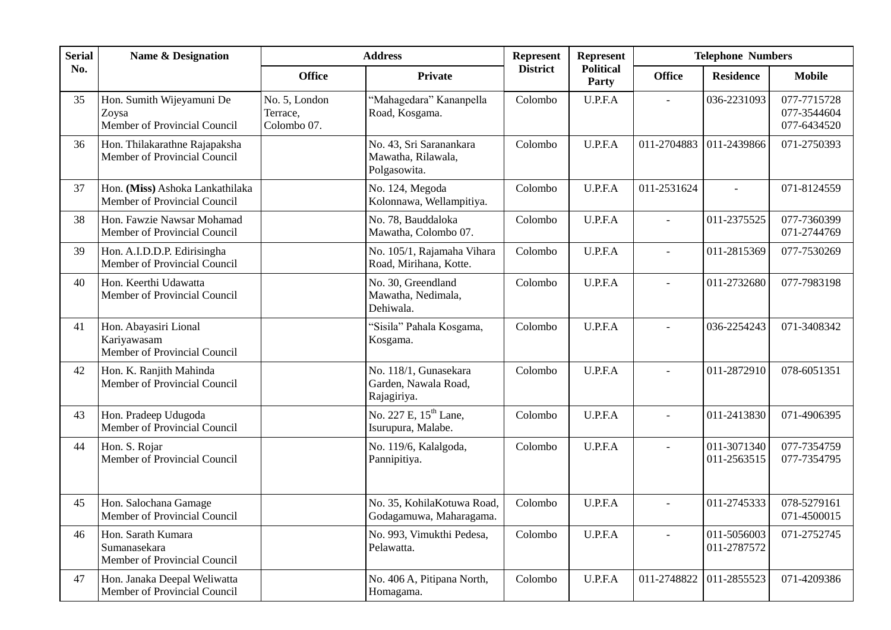| <b>Serial</b> | <b>Name &amp; Designation</b>                                        |                                          | <b>Address</b>                                                | Represent       | Represent                        |                          | <b>Telephone Numbers</b>   |                                           |
|---------------|----------------------------------------------------------------------|------------------------------------------|---------------------------------------------------------------|-----------------|----------------------------------|--------------------------|----------------------------|-------------------------------------------|
| No.           |                                                                      | <b>Office</b>                            | <b>Private</b>                                                | <b>District</b> | <b>Political</b><br><b>Party</b> | <b>Office</b>            | <b>Residence</b>           | <b>Mobile</b>                             |
| 35            | Hon. Sumith Wijeyamuni De<br>Zoysa<br>Member of Provincial Council   | No. 5, London<br>Terrace,<br>Colombo 07. | "Mahagedara" Kananpella<br>Road, Kosgama.                     | Colombo         | U.P.F.A                          |                          | 036-2231093                | 077-7715728<br>077-3544604<br>077-6434520 |
| 36            | Hon. Thilakarathne Rajapaksha<br>Member of Provincial Council        |                                          | No. 43, Sri Saranankara<br>Mawatha, Rilawala,<br>Polgasowita. | Colombo         | U.P.F.A                          | 011-2704883              | 011-2439866                | 071-2750393                               |
| 37            | Hon. (Miss) Ashoka Lankathilaka<br>Member of Provincial Council      |                                          | No. 124, Megoda<br>Kolonnawa, Wellampitiya.                   | Colombo         | U.P.F.A                          | 011-2531624              |                            | 071-8124559                               |
| 38            | Hon. Fawzie Nawsar Mohamad<br>Member of Provincial Council           |                                          | No. 78, Bauddaloka<br>Mawatha, Colombo 07.                    | Colombo         | U.P.F.A                          | $\overline{a}$           | 011-2375525                | 077-7360399<br>071-2744769                |
| 39            | Hon. A.I.D.D.P. Edirisingha<br>Member of Provincial Council          |                                          | No. 105/1, Rajamaha Vihara<br>Road, Mirihana, Kotte.          | Colombo         | U.P.F.A                          | $\overline{a}$           | 011-2815369                | 077-7530269                               |
| 40            | Hon. Keerthi Udawatta<br>Member of Provincial Council                |                                          | No. 30, Greendland<br>Mawatha, Nedimala,<br>Dehiwala.         | Colombo         | U.P.F.A                          | $\overline{a}$           | 011-2732680                | 077-7983198                               |
| 41            | Hon. Abayasiri Lional<br>Kariyawasam<br>Member of Provincial Council |                                          | 'Sisila" Pahala Kosgama,<br>Kosgama.                          | Colombo         | U.P.F.A                          |                          | 036-2254243                | 071-3408342                               |
| 42            | Hon. K. Ranjith Mahinda<br>Member of Provincial Council              |                                          | No. 118/1, Gunasekara<br>Garden, Nawala Road,<br>Rajagiriya.  | Colombo         | U.P.F.A                          | $\overline{\phantom{0}}$ | 011-2872910                | 078-6051351                               |
| 43            | Hon. Pradeep Udugoda<br>Member of Provincial Council                 |                                          | No. 227 E, 15 <sup>th</sup> Lane,<br>Isurupura, Malabe.       | Colombo         | U.P.F.A                          | $\blacksquare$           | 011-2413830                | 071-4906395                               |
| 44            | Hon. S. Rojar<br>Member of Provincial Council                        |                                          | No. 119/6, Kalalgoda,<br>Pannipitiya.                         | Colombo         | U.P.F.A                          | $\overline{a}$           | 011-3071340<br>011-2563515 | 077-7354759<br>077-7354795                |
| 45            | Hon. Salochana Gamage<br>Member of Provincial Council                |                                          | No. 35, KohilaKotuwa Road,<br>Godagamuwa, Maharagama.         | Colombo         | U.P.F.A                          | $\overline{a}$           | 011-2745333                | 078-5279161<br>071-4500015                |
| 46            | Hon. Sarath Kumara<br>Sumanasekara<br>Member of Provincial Council   |                                          | No. 993, Vimukthi Pedesa,<br>Pelawatta.                       | Colombo         | U.P.F.A                          |                          | 011-5056003<br>011-2787572 | 071-2752745                               |
| 47            | Hon. Janaka Deepal Weliwatta<br>Member of Provincial Council         |                                          | No. 406 A, Pitipana North,<br>Homagama.                       | Colombo         | U.P.F.A                          | 011-2748822              | 011-2855523                | 071-4209386                               |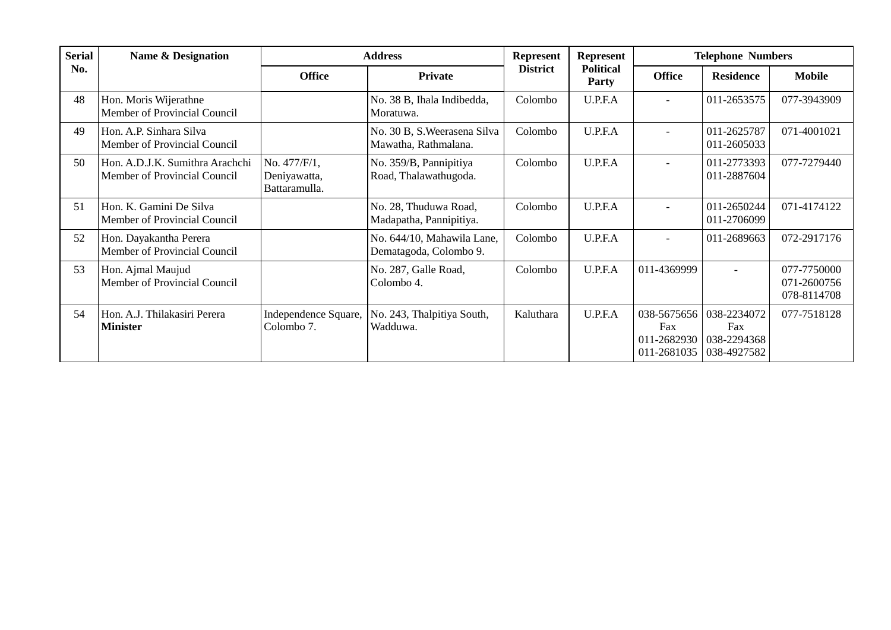| <b>Serial</b> | <b>Name &amp; Designation</b>                                   |                                               | <b>Address</b>                                       |                 | Represent                        |                          | <b>Telephone Numbers</b>                                                 |                                           |
|---------------|-----------------------------------------------------------------|-----------------------------------------------|------------------------------------------------------|-----------------|----------------------------------|--------------------------|--------------------------------------------------------------------------|-------------------------------------------|
| No.           |                                                                 | <b>Office</b>                                 | <b>Private</b>                                       | <b>District</b> | <b>Political</b><br><b>Party</b> | <b>Office</b>            | <b>Residence</b>                                                         | <b>Mobile</b>                             |
| 48            | Hon. Moris Wijerathne<br>Member of Provincial Council           |                                               | No. 38 B, Ihala Indibedda,<br>Moratuwa.              | Colombo         | U.P.F.A                          | $\overline{a}$           | 011-2653575                                                              | 077-3943909                               |
| 49            | Hon. A.P. Sinhara Silva<br>Member of Provincial Council         |                                               | No. 30 B, S. Weerasena Silva<br>Mawatha, Rathmalana. | Colombo         | U.P.F.A                          | $\overline{a}$           | 011-2625787<br>011-2605033                                               | 071-4001021                               |
| 50            | Hon. A.D.J.K. Sumithra Arachchi<br>Member of Provincial Council | No. 477/F/1,<br>Deniyawatta,<br>Battaramulla. | No. 359/B, Pannipitiya<br>Road, Thalawathugoda.      | Colombo         | U.P.F.A                          | $\overline{\phantom{0}}$ | 011-2773393<br>011-2887604                                               | 077-7279440                               |
| 51            | Hon. K. Gamini De Silva<br>Member of Provincial Council         |                                               | No. 28, Thuduwa Road,<br>Madapatha, Pannipitiya.     | Colombo         | U.P.F.A                          | $\overline{\phantom{0}}$ | 011-2650244<br>011-2706099                                               | 071-4174122                               |
| 52            | Hon. Dayakantha Perera<br>Member of Provincial Council          |                                               | No. 644/10, Mahawila Lane,<br>Dematagoda, Colombo 9. | Colombo         | U.P.F.A                          | $\overline{\phantom{0}}$ | 011-2689663                                                              | 072-2917176                               |
| 53            | Hon. Ajmal Maujud<br>Member of Provincial Council               |                                               | No. 287, Galle Road,<br>Colombo 4.                   | Colombo         | U.P.F.A                          | 011-4369999              |                                                                          | 077-7750000<br>071-2600756<br>078-8114708 |
| 54            | Hon. A.J. Thilakasiri Perera<br><b>Minister</b>                 | Independence Square,<br>Colombo 7.            | No. 243, Thalpitiya South,<br>Wadduwa.               | Kaluthara       | U.P.F.A                          | Fax<br>011-2681035       | 038-5675656 038-2234072<br>Fax<br>011-2682930 038-2294368<br>038-4927582 | 077-7518128                               |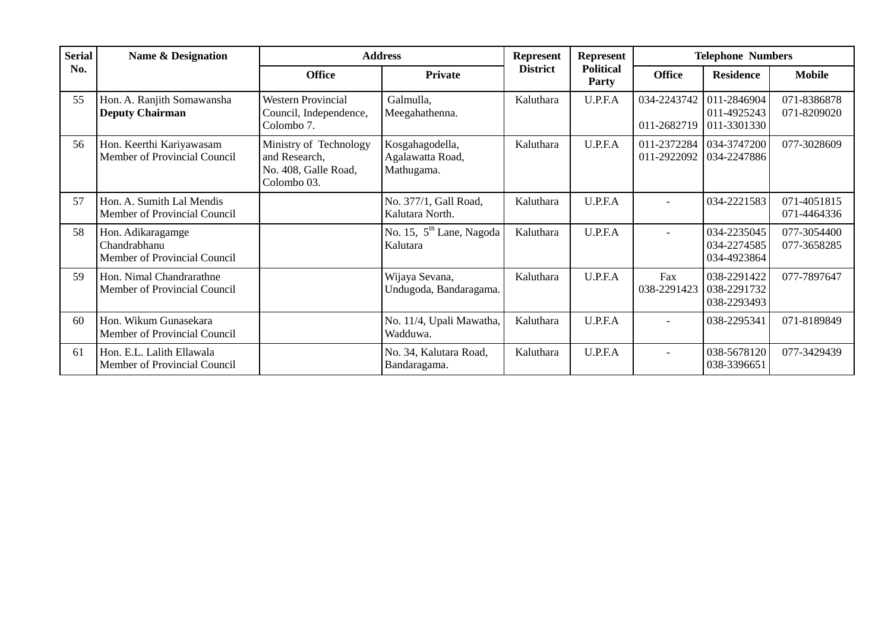| <b>Serial</b> | <b>Name &amp; Designation</b>                                     | <b>Address</b>                                                                 |                                                   | <b>Represent</b> | Represent                        |                            | <b>Telephone Numbers</b>                  |                            |
|---------------|-------------------------------------------------------------------|--------------------------------------------------------------------------------|---------------------------------------------------|------------------|----------------------------------|----------------------------|-------------------------------------------|----------------------------|
| No.           |                                                                   | <b>Office</b>                                                                  | <b>Private</b>                                    | <b>District</b>  | <b>Political</b><br><b>Party</b> | <b>Office</b>              | <b>Residence</b>                          | <b>Mobile</b>              |
| 55            | Hon. A. Ranjith Somawansha<br><b>Deputy Chairman</b>              | <b>Western Provincial</b><br>Council, Independence,<br>Colombo 7.              | Galmulla,<br>Meegahathenna.                       | Kaluthara        | U.P.F.A                          | 034-2243742<br>011-2682719 | 011-2846904<br>011-4925243<br>011-3301330 | 071-8386878<br>071-8209020 |
| 56            | Hon. Keerthi Kariyawasam<br>Member of Provincial Council          | Ministry of Technology<br>and Research,<br>No. 408, Galle Road,<br>Colombo 03. | Kosgahagodella,<br>Agalawatta Road,<br>Mathugama. | Kaluthara        | U.P.F.A                          | 011-2372284<br>011-2922092 | 034-3747200<br>034-2247886                | 077-3028609                |
| 57            | Hon. A. Sumith Lal Mendis<br>Member of Provincial Council         |                                                                                | No. 377/1, Gall Road,<br>Kalutara North.          | Kaluthara        | U.P.F.A                          |                            | 034-2221583                               | 071-4051815<br>071-4464336 |
| 58            | Hon. Adikaragamge<br>Chandrabhanu<br>Member of Provincial Council |                                                                                | No. 15, 5 <sup>th</sup> Lane, Nagoda<br>Kalutara  | Kaluthara        | U.P.F.A                          | $\overline{\phantom{0}}$   | 034-2235045<br>034-2274585<br>034-4923864 | 077-3054400<br>077-3658285 |
| 59            | Hon. Nimal Chandrarathne<br>Member of Provincial Council          |                                                                                | Wijaya Sevana,<br>Undugoda, Bandaragama.          | Kaluthara        | U.P.F.A                          | Fax<br>038-2291423         | 038-2291422<br>038-2291732<br>038-2293493 | 077-7897647                |
| 60            | Hon. Wikum Gunasekara<br>Member of Provincial Council             |                                                                                | No. 11/4, Upali Mawatha,<br>Wadduwa.              | Kaluthara        | U.P.F.A                          | $\overline{\phantom{a}}$   | 038-2295341                               | 071-8189849                |
| 61            | Hon. E.L. Lalith Ellawala<br>Member of Provincial Council         |                                                                                | No. 34, Kalutara Road,<br>Bandaragama.            | Kaluthara        | U.P.F.A                          | $\overline{\phantom{a}}$   | 038-5678120<br>038-3396651                | 077-3429439                |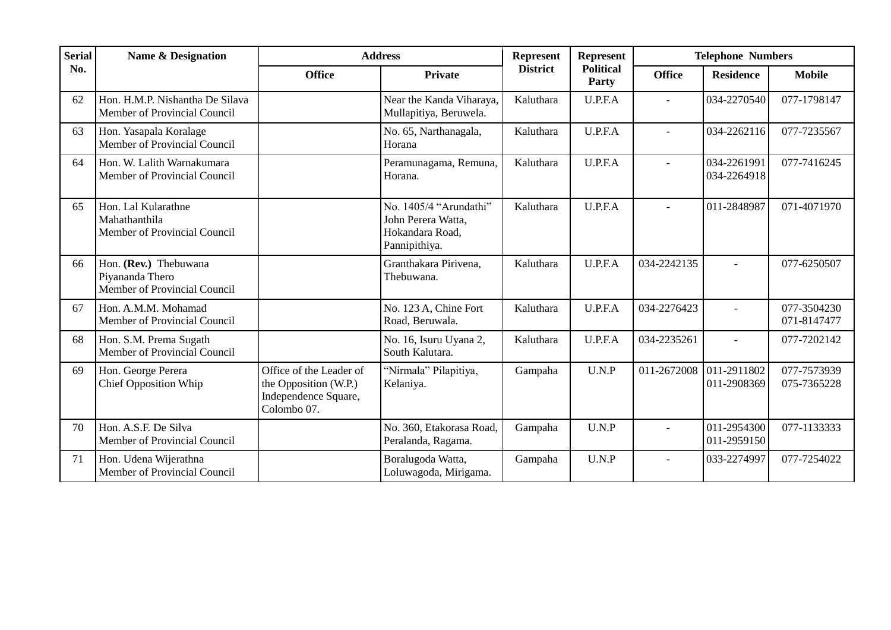| <b>Serial</b> | <b>Name &amp; Designation</b>                                            |                                                                                         | <b>Address</b>                                                                   | Represent       | <b>Represent</b>                 | <b>Telephone Numbers</b> |                            |                            |
|---------------|--------------------------------------------------------------------------|-----------------------------------------------------------------------------------------|----------------------------------------------------------------------------------|-----------------|----------------------------------|--------------------------|----------------------------|----------------------------|
| No.           |                                                                          | <b>Office</b>                                                                           | <b>Private</b>                                                                   | <b>District</b> | <b>Political</b><br><b>Party</b> | <b>Office</b>            | <b>Residence</b>           | <b>Mobile</b>              |
| 62            | Hon. H.M.P. Nishantha De Silava<br>Member of Provincial Council          |                                                                                         | Near the Kanda Viharaya,<br>Mullapitiya, Beruwela.                               | Kaluthara       | U.P.F.A                          | $\overline{\phantom{0}}$ | 034-2270540                | 077-1798147                |
| 63            | Hon. Yasapala Koralage<br>Member of Provincial Council                   |                                                                                         | No. 65, Narthanagala,<br>Horana                                                  | Kaluthara       | U.P.F.A                          |                          | 034-2262116                | 077-7235567                |
| 64            | Hon. W. Lalith Warnakumara<br>Member of Provincial Council               |                                                                                         | Peramunagama, Remuna,<br>Horana.                                                 | Kaluthara       | U.P.F.A                          |                          | 034-2261991<br>034-2264918 | 077-7416245                |
| 65            | Hon. Lal Kularathne<br>Mahathanthila<br>Member of Provincial Council     |                                                                                         | No. 1405/4 "Arundathi"<br>John Perera Watta,<br>Hokandara Road,<br>Pannipithiya. | Kaluthara       | U.P.F.A                          | $\overline{a}$           | 011-2848987                | 071-4071970                |
| 66            | Hon. (Rev.) Thebuwana<br>Piyananda Thero<br>Member of Provincial Council |                                                                                         | Granthakara Pirivena,<br>Thebuwana.                                              | Kaluthara       | U.P.F.A                          | 034-2242135              |                            | 077-6250507                |
| 67            | Hon. A.M.M. Mohamad<br>Member of Provincial Council                      |                                                                                         | No. 123 A, Chine Fort<br>Road, Beruwala.                                         | Kaluthara       | U.P.F.A                          | 034-2276423              |                            | 077-3504230<br>071-8147477 |
| 68            | Hon. S.M. Prema Sugath<br>Member of Provincial Council                   |                                                                                         | No. 16, Isuru Uyana 2,<br>South Kalutara.                                        | Kaluthara       | U.P.F.A                          | 034-2235261              |                            | 077-7202142                |
| 69            | Hon. George Perera<br><b>Chief Opposition Whip</b>                       | Office of the Leader of<br>the Opposition (W.P.)<br>Independence Square,<br>Colombo 07. | "Nirmala" Pilapitiya,<br>Kelaniya.                                               | Gampaha         | U.N.P                            | 011-2672008              | 011-2911802<br>011-2908369 | 077-7573939<br>075-7365228 |
| 70            | Hon. A.S.F. De Silva<br>Member of Provincial Council                     |                                                                                         | No. 360, Etakorasa Road,<br>Peralanda, Ragama.                                   | Gampaha         | U.N.P                            | $\overline{\phantom{0}}$ | 011-2954300<br>011-2959150 | 077-1133333                |
| 71            | Hon. Udena Wijerathna<br>Member of Provincial Council                    |                                                                                         | Boralugoda Watta,<br>Loluwagoda, Mirigama.                                       | Gampaha         | U.N.P                            |                          | 033-2274997                | 077-7254022                |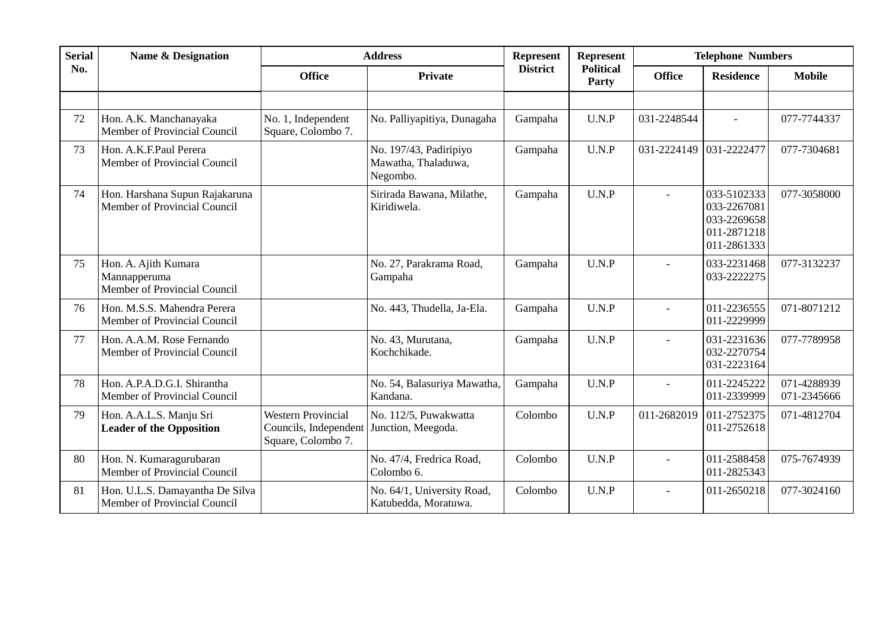| <b>Serial</b> | <b>Name &amp; Designation</b>                                        |                                                                          | <b>Address</b>                                            | <b>Represent</b> | <b>Represent</b>          |                          | <b>Telephone Numbers</b>                                                |                            |
|---------------|----------------------------------------------------------------------|--------------------------------------------------------------------------|-----------------------------------------------------------|------------------|---------------------------|--------------------------|-------------------------------------------------------------------------|----------------------------|
| No.           |                                                                      | <b>Office</b>                                                            | <b>Private</b>                                            | <b>District</b>  | <b>Political</b><br>Party | <b>Office</b>            | <b>Residence</b>                                                        | <b>Mobile</b>              |
|               |                                                                      |                                                                          |                                                           |                  |                           |                          |                                                                         |                            |
| 72            | Hon. A.K. Manchanayaka<br>Member of Provincial Council               | No. 1, Independent<br>Square, Colombo 7.                                 | No. Palliyapitiya, Dunagaha                               | Gampaha          | U.N.P                     | 031-2248544              |                                                                         | 077-7744337                |
| 73            | Hon. A.K.F.Paul Perera<br>Member of Provincial Council               |                                                                          | No. 197/43, Padiripiyo<br>Mawatha, Thaladuwa,<br>Negombo. | Gampaha          | U.N.P                     | 031-2224149              | 031-2222477                                                             | 077-7304681                |
| 74            | Hon. Harshana Supun Rajakaruna<br>Member of Provincial Council       |                                                                          | Sirirada Bawana, Milathe,<br>Kiridiwela.                  | Gampaha          | U.N.P                     | $\overline{a}$           | 033-5102333<br>033-2267081<br>033-2269658<br>011-2871218<br>011-2861333 | 077-3058000                |
| 75            | Hon. A. Ajith Kumara<br>Mannapperuma<br>Member of Provincial Council |                                                                          | No. 27, Parakrama Road,<br>Gampaha                        | Gampaha          | U.N.P                     |                          | 033-2231468<br>033-2222275                                              | 077-3132237                |
| 76            | Hon. M.S.S. Mahendra Perera<br>Member of Provincial Council          |                                                                          | No. 443, Thudella, Ja-Ela.                                | Gampaha          | U.N.P                     |                          | 011-2236555<br>011-2229999                                              | 071-8071212                |
| 77            | Hon. A.A.M. Rose Fernando<br>Member of Provincial Council            |                                                                          | No. 43, Murutana,<br>Kochchikade.                         | Gampaha          | U.N.P                     | $\overline{a}$           | 031-2231636<br>032-2270754<br>031-2223164                               | 077-7789958                |
| 78            | Hon. A.P.A.D.G.I. Shirantha<br>Member of Provincial Council          |                                                                          | No. 54, Balasuriya Mawatha,<br>Kandana.                   | Gampaha          | U.N.P                     | $\overline{a}$           | 011-2245222<br>011-2339999                                              | 071-4288939<br>071-2345666 |
| 79            | Hon. A.A.L.S. Manju Sri<br><b>Leader of the Opposition</b>           | <b>Western Provincial</b><br>Councils, Independent<br>Square, Colombo 7. | No. 112/5, Puwakwatta<br>Junction, Meegoda.               | Colombo          | U.N.P                     | 011-2682019              | 011-2752375<br>011-2752618                                              | 071-4812704                |
| 80            | Hon. N. Kumaragurubaran<br>Member of Provincial Council              |                                                                          | No. 47/4, Fredrica Road,<br>Colombo 6.                    | Colombo          | U.N.P                     | $\overline{\phantom{a}}$ | 011-2588458<br>011-2825343                                              | 075-7674939                |
| 81            | Hon. U.L.S. Damayantha De Silva<br>Member of Provincial Council      |                                                                          | No. 64/1, University Road,<br>Katubedda, Moratuwa.        | Colombo          | U.N.P                     | $\overline{a}$           | 011-2650218                                                             | 077-3024160                |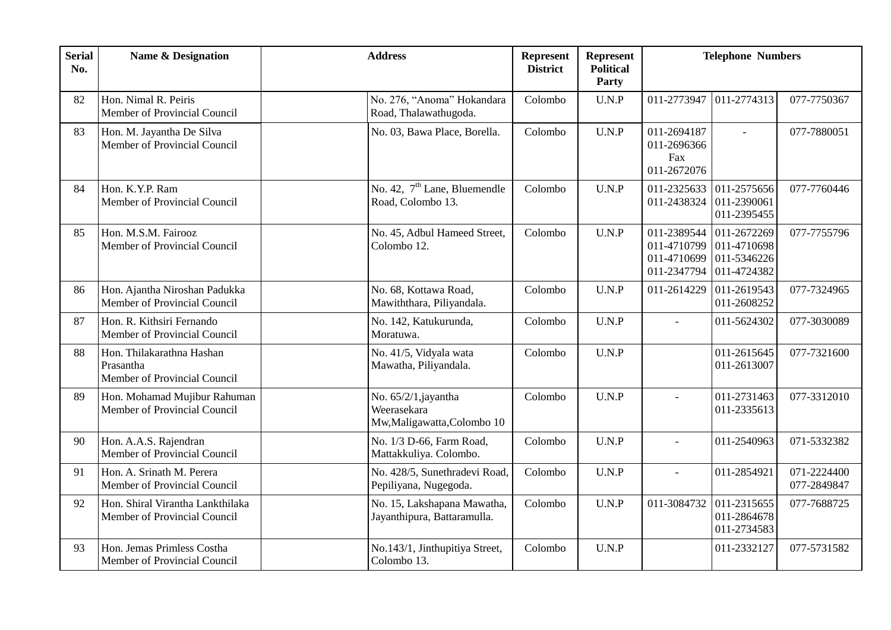| <b>Serial</b><br>No. | <b>Name &amp; Designation</b>                                          | <b>Address</b>                                                  | Represent<br><b>Represent</b><br><b>Political</b><br><b>District</b><br>Party |                                                  | <b>Telephone Numbers</b>                                             |                            |  |
|----------------------|------------------------------------------------------------------------|-----------------------------------------------------------------|-------------------------------------------------------------------------------|--------------------------------------------------|----------------------------------------------------------------------|----------------------------|--|
| 82                   | Hon. Nimal R. Peiris<br>Member of Provincial Council                   | No. 276, "Anoma" Hokandara<br>Road, Thalawathugoda.             | Colombo<br>U.N.P                                                              | 011-2773947                                      | 011-2774313                                                          | 077-7750367                |  |
| 83                   | Hon. M. Jayantha De Silva<br>Member of Provincial Council              | No. 03, Bawa Place, Borella.                                    | Colombo<br>U.N.P                                                              | 011-2694187<br>011-2696366<br>Fax<br>011-2672076 |                                                                      | 077-7880051                |  |
| 84                   | Hon. K.Y.P. Ram<br>Member of Provincial Council                        | No. 42, 7 <sup>th</sup> Lane, Bluemendle<br>Road, Colombo 13.   | Colombo<br>U.N.P                                                              | 011-2325633<br>011-2438324                       | 011-2575656<br>011-2390061<br>011-2395455                            | 077-7760446                |  |
| 85                   | Hon. M.S.M. Fairooz<br>Member of Provincial Council                    | No. 45, Adbul Hameed Street,<br>Colombo 12.                     | U.N.P<br>Colombo                                                              | 011-2389544<br>011-4710699<br>011-2347794        | 011-2672269<br>011-4710799 011-4710698<br>011-5346226<br>011-4724382 | 077-7755796                |  |
| 86                   | Hon. Ajantha Niroshan Padukka<br>Member of Provincial Council          | No. 68, Kottawa Road,<br>Mawiththara, Piliyandala.              | Colombo<br>U.N.P                                                              | 011-2614229                                      | 011-2619543<br>011-2608252                                           | 077-7324965                |  |
| 87                   | Hon. R. Kithsiri Fernando<br>Member of Provincial Council              | No. 142, Katukurunda,<br>Moratuwa.                              | Colombo<br>U.N.P                                                              | $\sim$                                           | 011-5624302                                                          | 077-3030089                |  |
| 88                   | Hon. Thilakarathna Hashan<br>Prasantha<br>Member of Provincial Council | No. 41/5, Vidyala wata<br>Mawatha, Piliyandala.                 | U.N.P<br>Colombo                                                              |                                                  | 011-2615645<br>011-2613007                                           | 077-7321600                |  |
| 89                   | Hon. Mohamad Mujibur Rahuman<br>Member of Provincial Council           | No. 65/2/1,jayantha<br>Weerasekara<br>Mw,Maligawatta,Colombo 10 | U.N.P<br>Colombo                                                              |                                                  | 011-2731463<br>011-2335613                                           | 077-3312010                |  |
| 90                   | Hon. A.A.S. Rajendran<br>Member of Provincial Council                  | No. 1/3 D-66, Farm Road,<br>Mattakkuliya. Colombo.              | Colombo<br>U.N.P                                                              |                                                  | 011-2540963                                                          | 071-5332382                |  |
| 91                   | Hon. A. Srinath M. Perera<br>Member of Provincial Council              | No. 428/5, Sunethradevi Road,<br>Pepiliyana, Nugegoda.          | Colombo<br>U.N.P                                                              |                                                  | 011-2854921                                                          | 071-2224400<br>077-2849847 |  |
| 92                   | Hon. Shiral Virantha Lankthilaka<br>Member of Provincial Council       | No. 15, Lakshapana Mawatha,<br>Jayanthipura, Battaramulla.      | Colombo<br>U.N.P                                                              | 011-3084732                                      | 011-2315655<br>011-2864678<br>011-2734583                            | 077-7688725                |  |
| 93                   | Hon. Jemas Primless Costha<br>Member of Provincial Council             | No.143/1, Jinthupitiya Street,<br>Colombo 13.                   | U.N.P<br>Colombo                                                              |                                                  | 011-2332127                                                          | 077-5731582                |  |